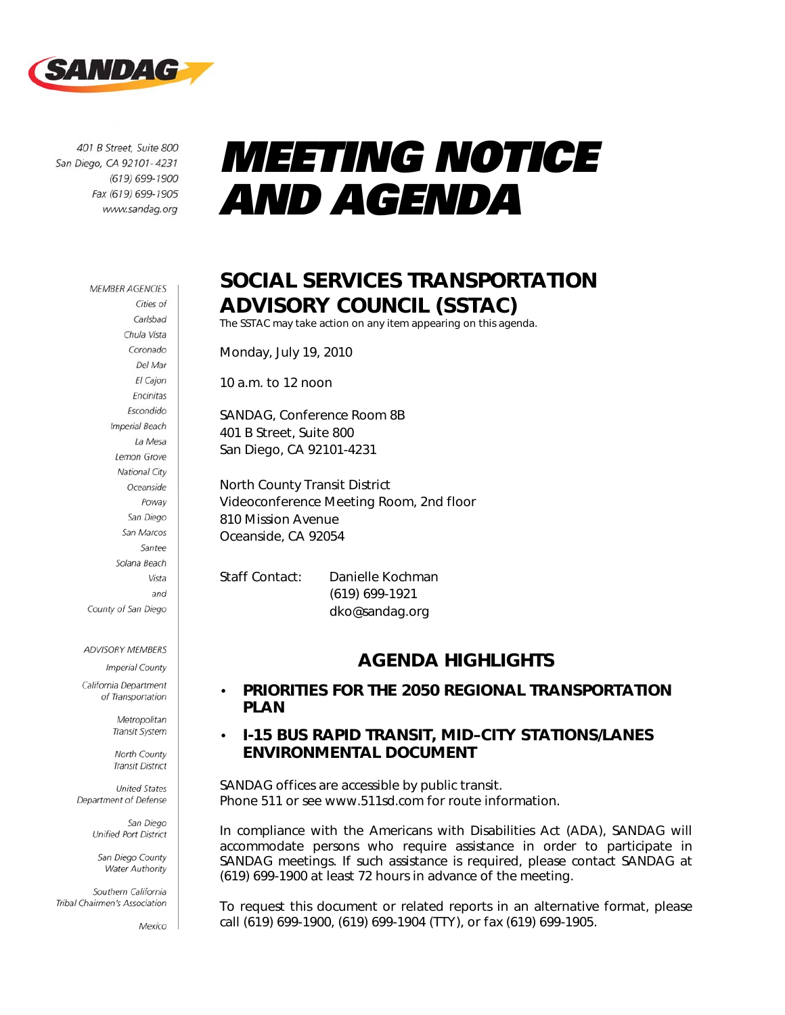

401 B Street, Suite 800 San Diego, CA 92101-4231 (619) 699-1900 Fax (619) 699-1905 www.sandag.org

#### **MEMBER AGENCIES** Cities of Carlsbad Chula Vista Coronado Del Mar El Cajon Encinitas Escondido **Imperial Beach** La Mesa Lemon Grove National City Oceanside Poway San Diego San Marcos Santee Solana Beach Vista and County of San Diego

#### ADVISORY MEMBERS

**Imperial County** California Department

of Transportation

Metropolitan Transit System

North County **Transit District** 

**United States** Department of Defense

> San Diego Unified Port District

San Diego County Water Authority

Southern California Tribal Chairmen's Association

Mexico

# *MEETING NOTICE AND AGENDA*

## SOCIAL SERVICES TRANSPORTATION ADVISORY COUNCIL (SSTAC)

The SSTAC may take action on any item appearing on this agenda.

Monday, July 19, 2010

10 a.m. to 12 noon

SANDAG, Conference Room 8B 401 B Street, Suite 800 San Diego, CA 92101-4231

North County Transit District Videoconference Meeting Room, 2nd floor 810 Mission Avenue Oceanside, CA 92054

Staff Contact: Danielle Kochman (619) 699-1921 dko@sandag.org

### *AGENDA HIGHLIGHTS*

#### • PRIORITIES FOR THE 2050 REGIONAL TRANSPORTATION PLAN

#### • I-15 BUS RAPID TRANSIT, MID–CITY STATIONS/LANES ENVIRONMENTAL DOCUMENT

*SANDAG offices are accessible by public transit. Phone 511 or see www.511sd.com for route information.* 

In compliance with the Americans with Disabilities Act (ADA), SANDAG will *accommodate persons who require assistance in order to participate in SANDAG meetings. If such assistance is required, please contact SANDAG at (619) 699-1900 at least 72 hours in advance of the meeting.* 

*To request this document or related reports in an alternative format, please call (619) 699-1900, (619) 699-1904 (TTY), or fax (619) 699-1905.*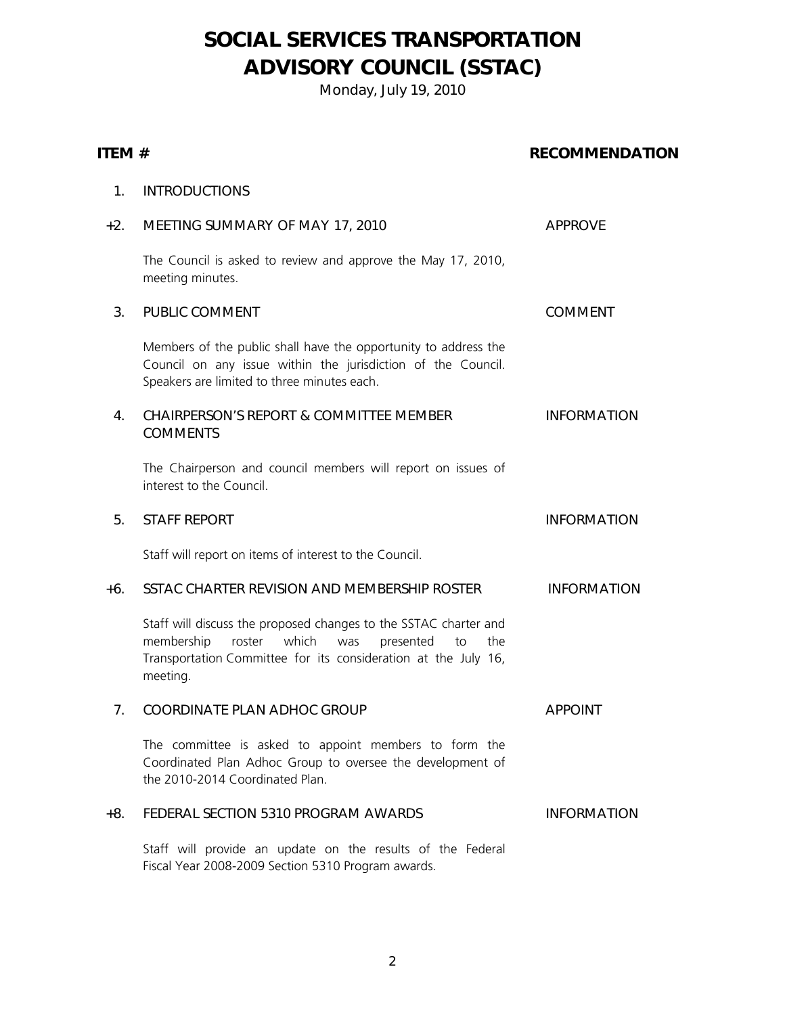## SOCIAL SERVICES TRANSPORTATION ADVISORY COUNCIL (SSTAC)

Monday, July 19, 2010

| ITEM # |                                                                                                                                                                                                                  | <b>RECOMMENDATION</b> |  |
|--------|------------------------------------------------------------------------------------------------------------------------------------------------------------------------------------------------------------------|-----------------------|--|
| 1.     | <b>INTRODUCTIONS</b>                                                                                                                                                                                             |                       |  |
| $+2.$  | MEETING SUMMARY OF MAY 17, 2010                                                                                                                                                                                  | <b>APPROVE</b>        |  |
|        | The Council is asked to review and approve the May 17, 2010,<br>meeting minutes.                                                                                                                                 |                       |  |
| 3.     | PUBLIC COMMENT                                                                                                                                                                                                   | <b>COMMENT</b>        |  |
|        | Members of the public shall have the opportunity to address the<br>Council on any issue within the jurisdiction of the Council.<br>Speakers are limited to three minutes each.                                   |                       |  |
| 4.     | <b>CHAIRPERSON'S REPORT &amp; COMMITTEE MEMBER</b><br><b>COMMENTS</b>                                                                                                                                            | <b>INFORMATION</b>    |  |
|        | The Chairperson and council members will report on issues of<br>interest to the Council.                                                                                                                         |                       |  |
| 5.     | <b>STAFF REPORT</b>                                                                                                                                                                                              | <b>INFORMATION</b>    |  |
|        | Staff will report on items of interest to the Council.                                                                                                                                                           |                       |  |
| $+6.$  | SSTAC CHARTER REVISION AND MEMBERSHIP ROSTER                                                                                                                                                                     | <b>INFORMATION</b>    |  |
|        | Staff will discuss the proposed changes to the SSTAC charter and<br>membership<br>roster<br>which<br>was<br>presented<br>to<br>the<br>Transportation Committee for its consideration at the July 16,<br>meeting. |                       |  |
| 7.     | COORDINATE PLAN ADHOC GROUP                                                                                                                                                                                      | <b>APPOINT</b>        |  |
|        | The committee is asked to appoint members to form the<br>Coordinated Plan Adhoc Group to oversee the development of<br>the 2010-2014 Coordinated Plan.                                                           |                       |  |
| +8.    | FEDERAL SECTION 5310 PROGRAM AWARDS                                                                                                                                                                              | <b>INFORMATION</b>    |  |
|        | Staff will provide an update on the results of the Federal<br>Fiscal Year 2008-2009 Section 5310 Program awards.                                                                                                 |                       |  |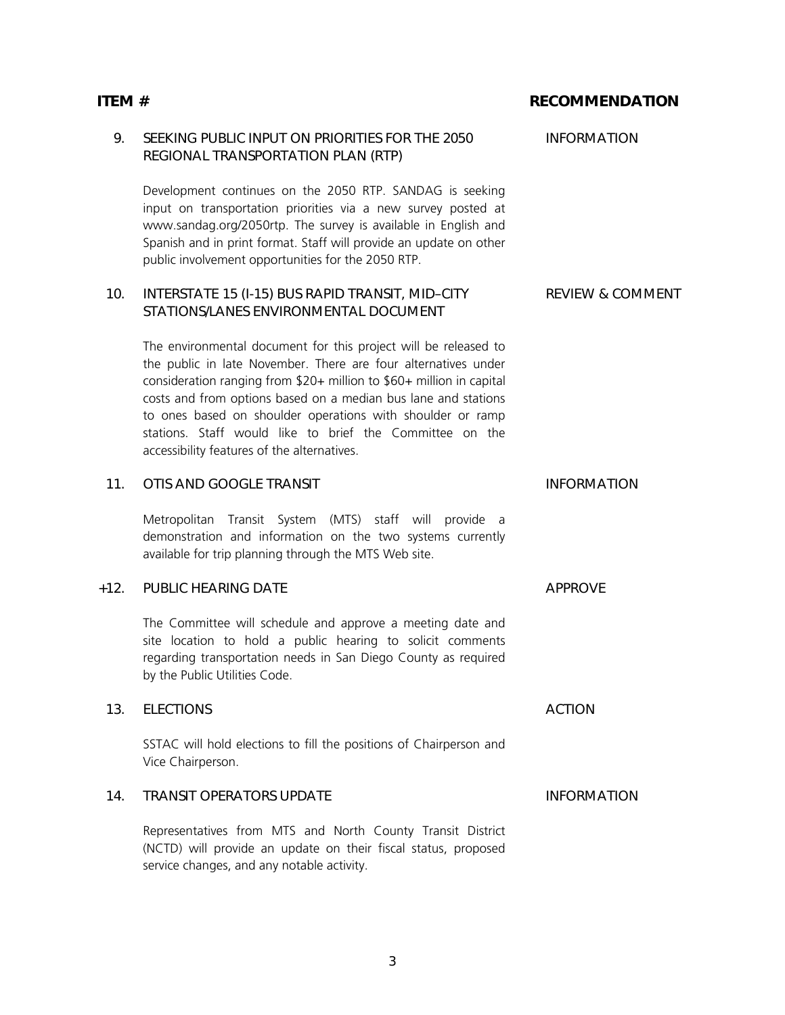| ITEM#  |                                                                                                                                                                                                                                                                                                                                                                                                                                                      | <b>RECOMMENDATION</b>       |
|--------|------------------------------------------------------------------------------------------------------------------------------------------------------------------------------------------------------------------------------------------------------------------------------------------------------------------------------------------------------------------------------------------------------------------------------------------------------|-----------------------------|
| 9.     | SEEKING PUBLIC INPUT ON PRIORITIES FOR THE 2050<br>REGIONAL TRANSPORTATION PLAN (RTP)                                                                                                                                                                                                                                                                                                                                                                | <b>INFORMATION</b>          |
|        | Development continues on the 2050 RTP. SANDAG is seeking<br>input on transportation priorities via a new survey posted at<br>www.sandag.org/2050rtp. The survey is available in English and<br>Spanish and in print format. Staff will provide an update on other<br>public involvement opportunities for the 2050 RTP.                                                                                                                              |                             |
| 10.    | INTERSTATE 15 (I-15) BUS RAPID TRANSIT, MID-CITY<br>STATIONS/LANES ENVIRONMENTAL DOCUMENT                                                                                                                                                                                                                                                                                                                                                            | <b>REVIEW &amp; COMMENT</b> |
|        | The environmental document for this project will be released to<br>the public in late November. There are four alternatives under<br>consideration ranging from \$20+ million to \$60+ million in capital<br>costs and from options based on a median bus lane and stations<br>to ones based on shoulder operations with shoulder or ramp<br>stations. Staff would like to brief the Committee on the<br>accessibility features of the alternatives. |                             |
| 11.    | OTIS AND GOOGLE TRANSIT                                                                                                                                                                                                                                                                                                                                                                                                                              | <b>INFORMATION</b>          |
|        | Metropolitan Transit System (MTS) staff will<br>provide a<br>demonstration and information on the two systems currently<br>available for trip planning through the MTS Web site.                                                                                                                                                                                                                                                                     |                             |
| $+12.$ | PUBLIC HEARING DATE                                                                                                                                                                                                                                                                                                                                                                                                                                  | <b>APPROVE</b>              |
|        | The Committee will schedule and approve a meeting date and<br>site location to hold a public hearing to solicit comments<br>regarding transportation needs in San Diego County as required<br>by the Public Utilities Code.                                                                                                                                                                                                                          |                             |
| 13.    | <b>ELECTIONS</b>                                                                                                                                                                                                                                                                                                                                                                                                                                     | <b>ACTION</b>               |
|        | SSTAC will hold elections to fill the positions of Chairperson and<br>Vice Chairperson.                                                                                                                                                                                                                                                                                                                                                              |                             |
| 14.    | <b>TRANSIT OPERATORS UPDATE</b>                                                                                                                                                                                                                                                                                                                                                                                                                      | <b>INFORMATION</b>          |
|        | Representatives from MTS and North County Transit District<br>(NCTD) will provide an update on their fiscal status, proposed<br>service changes, and any notable activity.                                                                                                                                                                                                                                                                           |                             |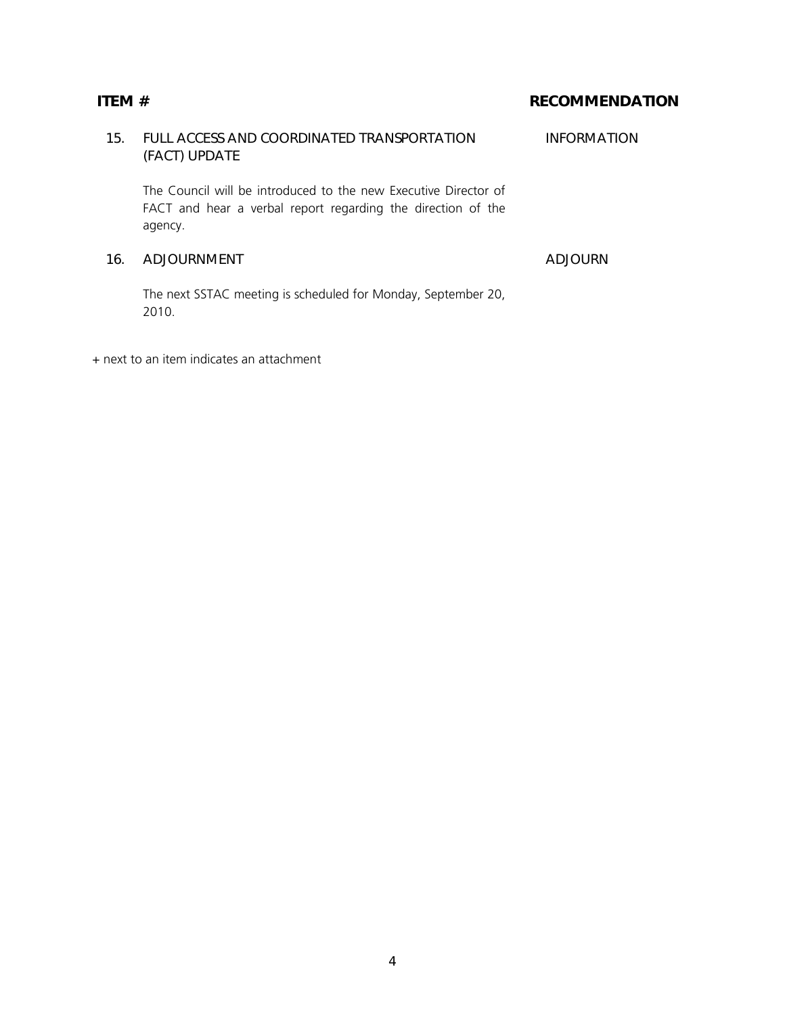## 15. FULL ACCESS AND COORDINATED TRANSPORTATION (FACT) UPDATE INFORMATION The Council will be introduced to the new Executive Director of FACT and hear a verbal report regarding the direction of the agency. 16. ADJOURNMENT ADJOURN

The next SSTAC meeting is scheduled for Monday, September 20, 2010.

+ next to an item indicates an attachment

4

## ITEM # RECOMMENDATION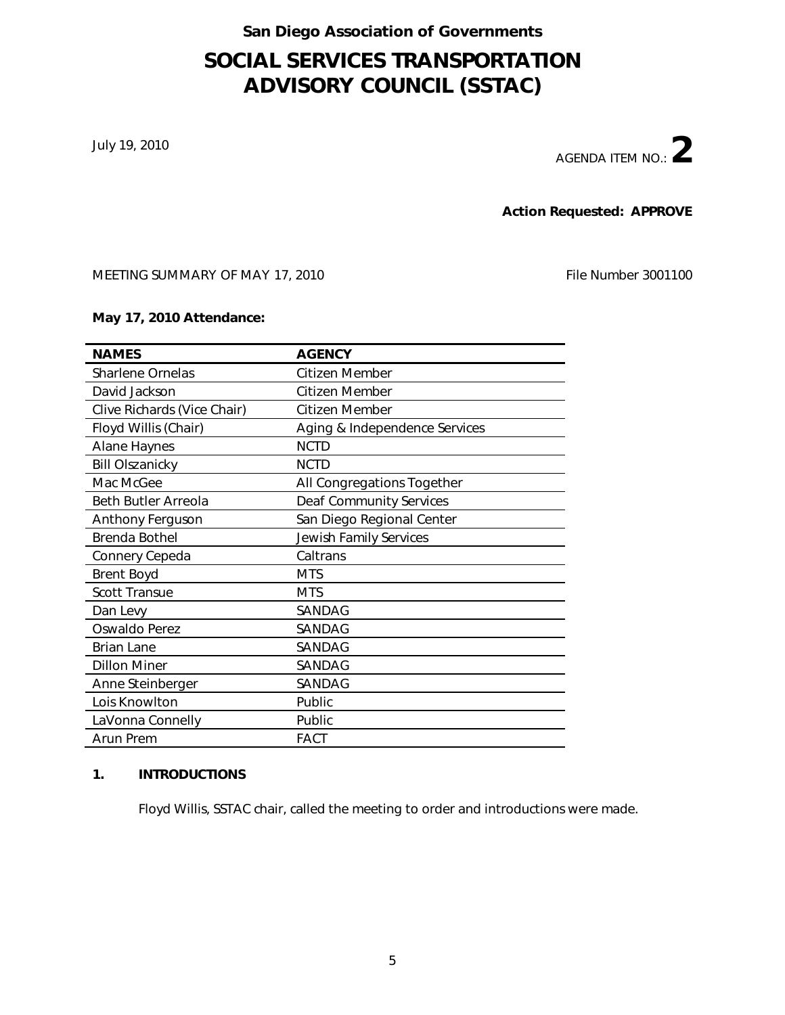#### San Diego Association of Governments

## SOCIAL SERVICES TRANSPORTATION ADVISORY COUNCIL (SSTAC)

July 19, 2010

AGENDA ITEM NO.:  $2$ 

Action Requested: APPROVE

MEETING SUMMARY OF MAY 17, 2010 File Number 3001100

#### May 17, 2010 Attendance:

| <b>NAMES</b>                | <b>AGENCY</b>                  |
|-----------------------------|--------------------------------|
| Sharlene Ornelas            | Citizen Member                 |
| David Jackson               | Citizen Member                 |
| Clive Richards (Vice Chair) | Citizen Member                 |
| Floyd Willis (Chair)        | Aging & Independence Services  |
| <b>Alane Haynes</b>         | <b>NCTD</b>                    |
| <b>Bill Olszanicky</b>      | <b>NCTD</b>                    |
| Mac McGee                   | All Congregations Together     |
| <b>Beth Butler Arreola</b>  | <b>Deaf Community Services</b> |
| Anthony Ferguson            | San Diego Regional Center      |
| Brenda Bothel               | <b>Jewish Family Services</b>  |
| Connery Cepeda              | Caltrans                       |
| <b>Brent Boyd</b>           | <b>MTS</b>                     |
| <b>Scott Transue</b>        | <b>MTS</b>                     |
| Dan Levy                    | SANDAG                         |
| Oswaldo Perez               | SANDAG                         |
| <b>Brian Lane</b>           | SANDAG                         |
| <b>Dillon Miner</b>         | SANDAG                         |
| Anne Steinberger            | SANDAG                         |
| Lois Knowlton               | Public                         |
| LaVonna Connelly            | Public                         |
| Arun Prem                   | <b>FACT</b>                    |

#### 1. INTRODUCTIONS

Floyd Willis, SSTAC chair, called the meeting to order and introductions were made.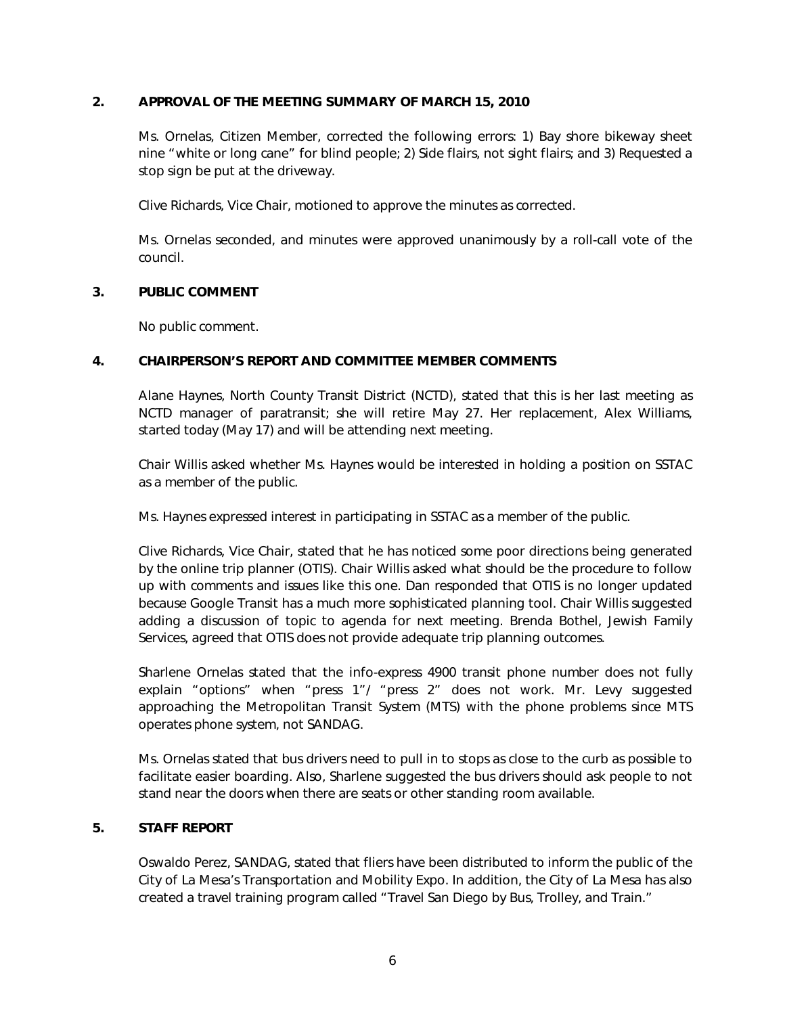#### 2. APPROVAL OF THE MEETING SUMMARY OF MARCH 15, 2010

Ms. Ornelas, Citizen Member, corrected the following errors: 1) Bay shore bikeway sheet nine "white or long cane" for blind people; 2) Side flairs, not sight flairs; and 3) Requested a stop sign be put at the driveway.

Clive Richards, Vice Chair, motioned to approve the minutes as corrected.

Ms. Ornelas seconded, and minutes were approved unanimously by a roll-call vote of the council.

#### 3. PUBLIC COMMENT

No public comment.

#### 4. CHAIRPERSON'S REPORT AND COMMITTEE MEMBER COMMENTS

Alane Haynes, North County Transit District (NCTD), stated that this is her last meeting as NCTD manager of paratransit; she will retire May 27. Her replacement, Alex Williams, started today (May 17) and will be attending next meeting.

Chair Willis asked whether Ms. Haynes would be interested in holding a position on SSTAC as a member of the public.

Ms. Haynes expressed interest in participating in SSTAC as a member of the public.

Clive Richards, Vice Chair, stated that he has noticed some poor directions being generated by the online trip planner (OTIS). Chair Willis asked what should be the procedure to follow up with comments and issues like this one. Dan responded that OTIS is no longer updated because Google Transit has a much more sophisticated planning tool. Chair Willis suggested adding a discussion of topic to agenda for next meeting. Brenda Bothel, Jewish Family Services, agreed that OTIS does not provide adequate trip planning outcomes.

Sharlene Ornelas stated that the info-express 4900 transit phone number does not fully explain "options" when "press 1"/ "press 2" does not work. Mr. Levy suggested approaching the Metropolitan Transit System (MTS) with the phone problems since MTS operates phone system, not SANDAG.

Ms. Ornelas stated that bus drivers need to pull in to stops as close to the curb as possible to facilitate easier boarding. Also, Sharlene suggested the bus drivers should ask people to not stand near the doors when there are seats or other standing room available.

#### 5. STAFF REPORT

Oswaldo Perez, SANDAG, stated that fliers have been distributed to inform the public of the City of La Mesa's Transportation and Mobility Expo. In addition, the City of La Mesa has also created a travel training program called "Travel San Diego by Bus, Trolley, and Train."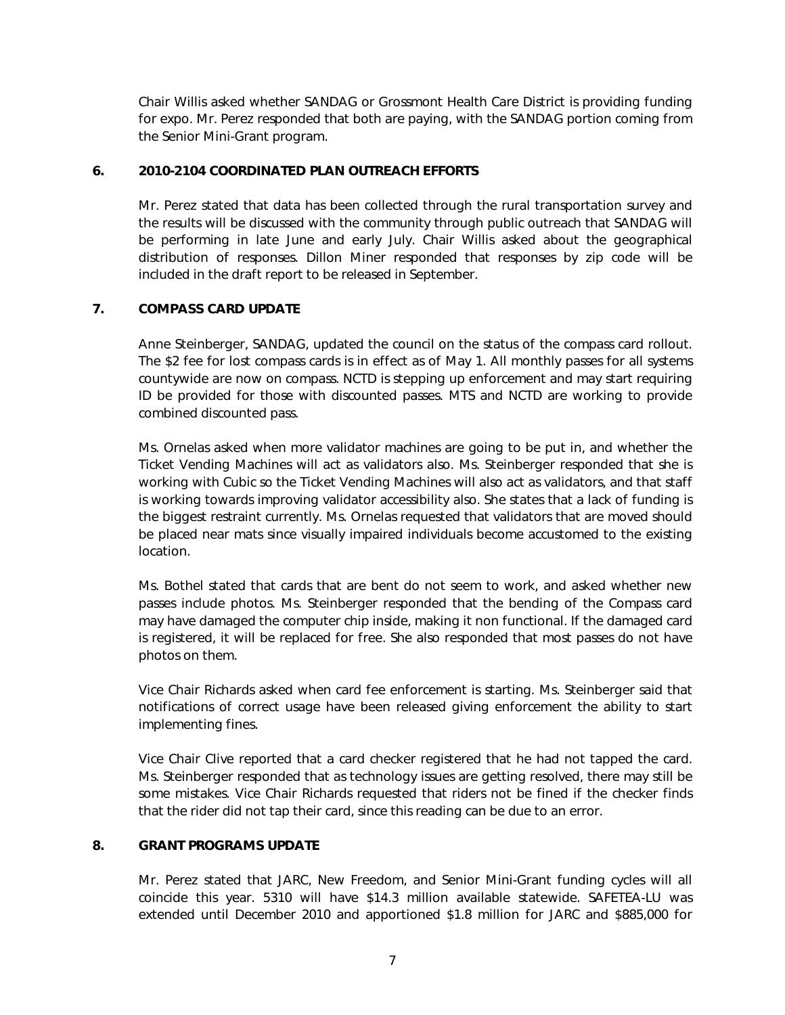Chair Willis asked whether SANDAG or Grossmont Health Care District is providing funding for expo. Mr. Perez responded that both are paying, with the SANDAG portion coming from the Senior Mini-Grant program.

#### 6. 2010-2104 COORDINATED PLAN OUTREACH EFFORTS

Mr. Perez stated that data has been collected through the rural transportation survey and the results will be discussed with the community through public outreach that SANDAG will be performing in late June and early July. Chair Willis asked about the geographical distribution of responses. Dillon Miner responded that responses by zip code will be included in the draft report to be released in September.

#### 7. COMPASS CARD UPDATE

Anne Steinberger, SANDAG, updated the council on the status of the compass card rollout. The \$2 fee for lost compass cards is in effect as of May 1. All monthly passes for all systems countywide are now on compass. NCTD is stepping up enforcement and may start requiring ID be provided for those with discounted passes. MTS and NCTD are working to provide combined discounted pass.

Ms. Ornelas asked when more validator machines are going to be put in, and whether the Ticket Vending Machines will act as validators also. Ms. Steinberger responded that she is working with Cubic so the Ticket Vending Machines will also act as validators, and that staff is working towards improving validator accessibility also. She states that a lack of funding is the biggest restraint currently. Ms. Ornelas requested that validators that are moved should be placed near mats since visually impaired individuals become accustomed to the existing location.

Ms. Bothel stated that cards that are bent do not seem to work, and asked whether new passes include photos. Ms. Steinberger responded that the bending of the Compass card may have damaged the computer chip inside, making it non functional. If the damaged card is registered, it will be replaced for free. She also responded that most passes do not have photos on them.

Vice Chair Richards asked when card fee enforcement is starting. Ms. Steinberger said that notifications of correct usage have been released giving enforcement the ability to start implementing fines.

Vice Chair Clive reported that a card checker registered that he had not tapped the card. Ms. Steinberger responded that as technology issues are getting resolved, there may still be some mistakes. Vice Chair Richards requested that riders not be fined if the checker finds that the rider did not tap their card, since this reading can be due to an error.

#### 8. GRANT PROGRAMS UPDATE

Mr. Perez stated that JARC, New Freedom, and Senior Mini-Grant funding cycles will all coincide this year. 5310 will have \$14.3 million available statewide. SAFETEA-LU was extended until December 2010 and apportioned \$1.8 million for JARC and \$885,000 for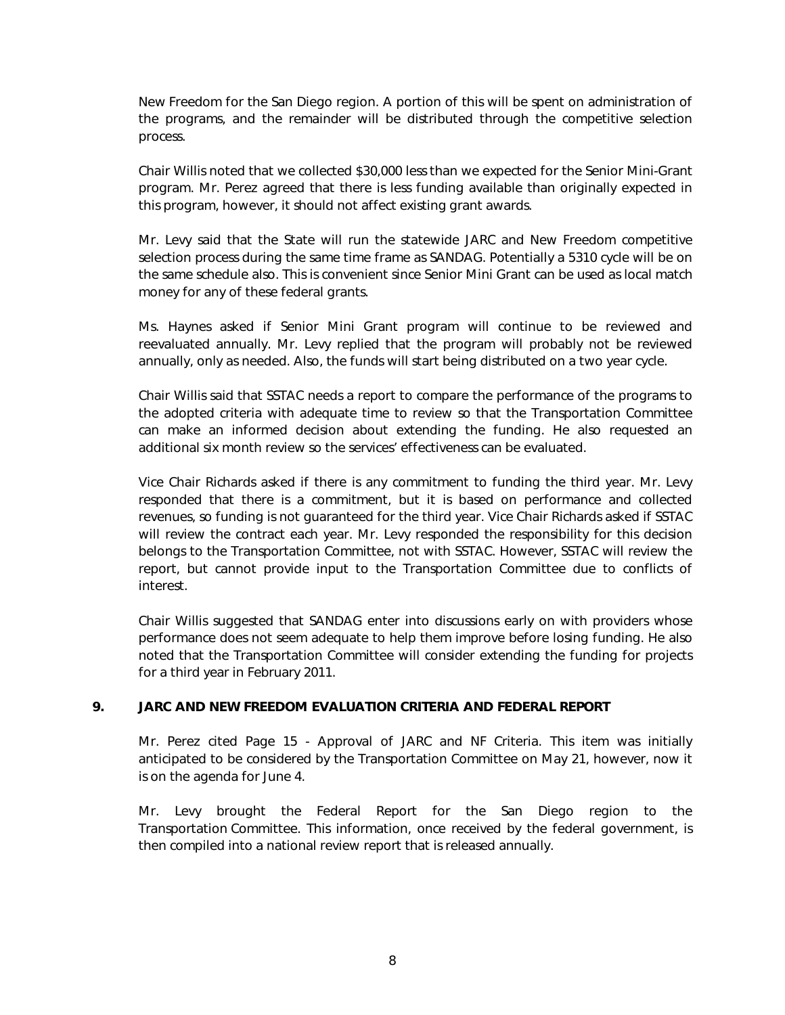New Freedom for the San Diego region. A portion of this will be spent on administration of the programs, and the remainder will be distributed through the competitive selection process.

Chair Willis noted that we collected \$30,000 less than we expected for the Senior Mini-Grant program. Mr. Perez agreed that there is less funding available than originally expected in this program, however, it should not affect existing grant awards.

Mr. Levy said that the State will run the statewide JARC and New Freedom competitive selection process during the same time frame as SANDAG. Potentially a 5310 cycle will be on the same schedule also. This is convenient since Senior Mini Grant can be used as local match money for any of these federal grants.

Ms. Haynes asked if Senior Mini Grant program will continue to be reviewed and reevaluated annually. Mr. Levy replied that the program will probably not be reviewed annually, only as needed. Also, the funds will start being distributed on a two year cycle.

Chair Willis said that SSTAC needs a report to compare the performance of the programs to the adopted criteria with adequate time to review so that the Transportation Committee can make an informed decision about extending the funding. He also requested an additional six month review so the services' effectiveness can be evaluated.

Vice Chair Richards asked if there is any commitment to funding the third year. Mr. Levy responded that there is a commitment, but it is based on performance and collected revenues, so funding is not guaranteed for the third year. Vice Chair Richards asked if SSTAC will review the contract each year. Mr. Levy responded the responsibility for this decision belongs to the Transportation Committee, not with SSTAC. However, SSTAC will review the report, but cannot provide input to the Transportation Committee due to conflicts of interest.

Chair Willis suggested that SANDAG enter into discussions early on with providers whose performance does not seem adequate to help them improve before losing funding. He also noted that the Transportation Committee will consider extending the funding for projects for a third year in February 2011.

#### 9. JARC AND NEW FREEDOM EVALUATION CRITERIA AND FEDERAL REPORT

Mr. Perez cited Page 15 - Approval of JARC and NF Criteria. This item was initially anticipated to be considered by the Transportation Committee on May 21, however, now it is on the agenda for June 4.

Mr. Levy brought the Federal Report for the San Diego region to the Transportation Committee. This information, once received by the federal government, is then compiled into a national review report that is released annually.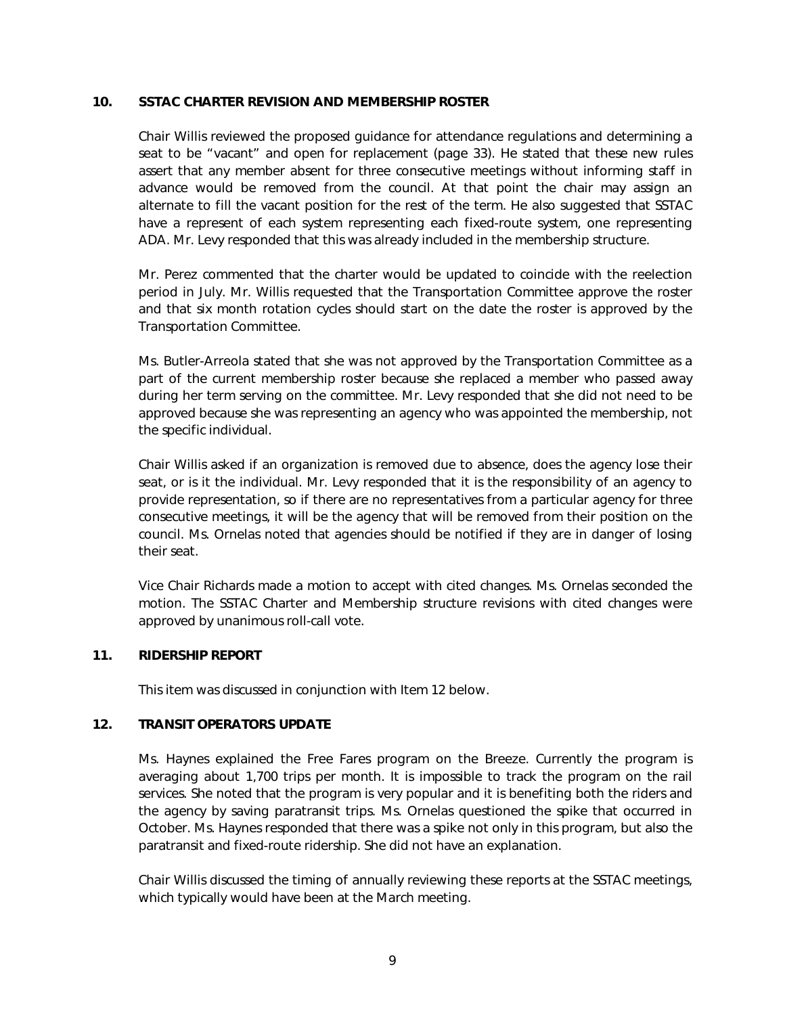#### 10. SSTAC CHARTER REVISION AND MEMBERSHIP ROSTER

Chair Willis reviewed the proposed guidance for attendance regulations and determining a seat to be "vacant" and open for replacement (page 33). He stated that these new rules assert that any member absent for three consecutive meetings without informing staff in advance would be removed from the council. At that point the chair may assign an alternate to fill the vacant position for the rest of the term. He also suggested that SSTAC have a represent of each system representing each fixed-route system, one representing ADA. Mr. Levy responded that this was already included in the membership structure.

Mr. Perez commented that the charter would be updated to coincide with the reelection period in July. Mr. Willis requested that the Transportation Committee approve the roster and that six month rotation cycles should start on the date the roster is approved by the Transportation Committee.

Ms. Butler-Arreola stated that she was not approved by the Transportation Committee as a part of the current membership roster because she replaced a member who passed away during her term serving on the committee. Mr. Levy responded that she did not need to be approved because she was representing an agency who was appointed the membership, not the specific individual.

Chair Willis asked if an organization is removed due to absence, does the agency lose their seat, or is it the individual. Mr. Levy responded that it is the responsibility of an agency to provide representation, so if there are no representatives from a particular agency for three consecutive meetings, it will be the agency that will be removed from their position on the council. Ms. Ornelas noted that agencies should be notified if they are in danger of losing their seat.

Vice Chair Richards made a motion to accept with cited changes. Ms. Ornelas seconded the motion. The SSTAC Charter and Membership structure revisions with cited changes were approved by unanimous roll-call vote.

#### 11. RIDERSHIP REPORT

This item was discussed in conjunction with Item 12 below.

#### 12. TRANSIT OPERATORS UPDATE

Ms. Haynes explained the Free Fares program on the Breeze. Currently the program is averaging about 1,700 trips per month. It is impossible to track the program on the rail services. She noted that the program is very popular and it is benefiting both the riders and the agency by saving paratransit trips. Ms. Ornelas questioned the spike that occurred in October. Ms. Haynes responded that there was a spike not only in this program, but also the paratransit and fixed-route ridership. She did not have an explanation.

Chair Willis discussed the timing of annually reviewing these reports at the SSTAC meetings, which typically would have been at the March meeting.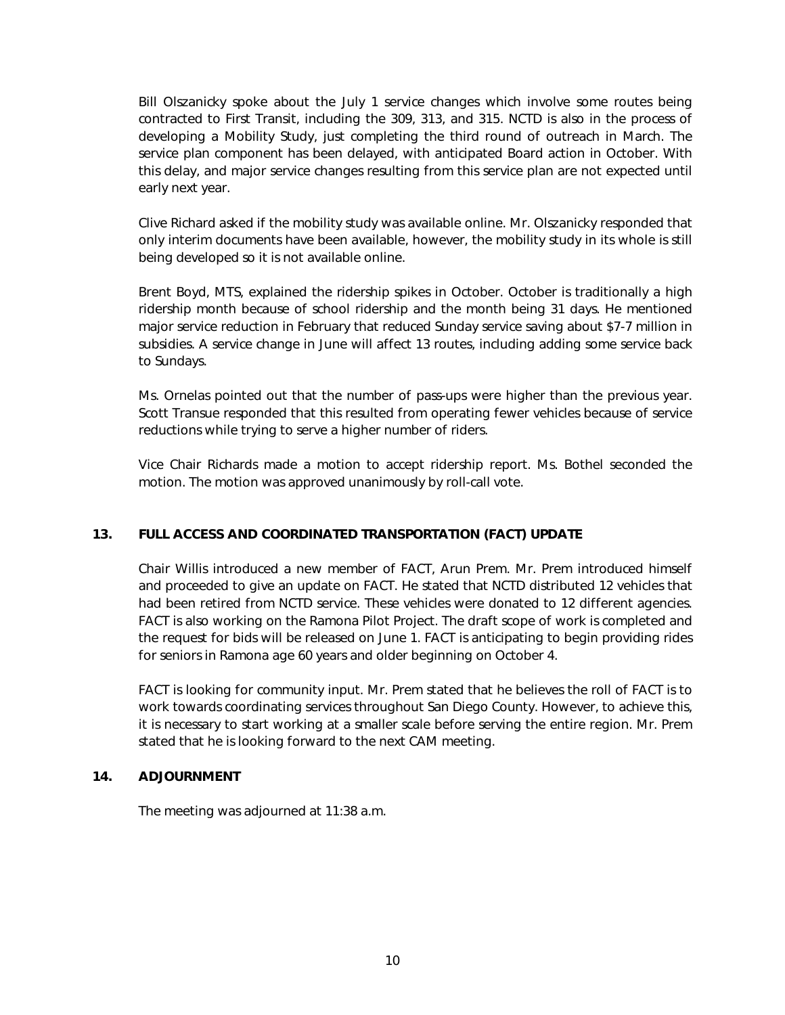Bill Olszanicky spoke about the July 1 service changes which involve some routes being contracted to First Transit, including the 309, 313, and 315. NCTD is also in the process of developing a Mobility Study, just completing the third round of outreach in March. The service plan component has been delayed, with anticipated Board action in October. With this delay, and major service changes resulting from this service plan are not expected until early next year.

Clive Richard asked if the mobility study was available online. Mr. Olszanicky responded that only interim documents have been available, however, the mobility study in its whole is still being developed so it is not available online.

Brent Boyd, MTS, explained the ridership spikes in October. October is traditionally a high ridership month because of school ridership and the month being 31 days. He mentioned major service reduction in February that reduced Sunday service saving about \$7-7 million in subsidies. A service change in June will affect 13 routes, including adding some service back to Sundays.

Ms. Ornelas pointed out that the number of pass-ups were higher than the previous year. Scott Transue responded that this resulted from operating fewer vehicles because of service reductions while trying to serve a higher number of riders.

Vice Chair Richards made a motion to accept ridership report. Ms. Bothel seconded the motion. The motion was approved unanimously by roll-call vote.

#### 13. FULL ACCESS AND COORDINATED TRANSPORTATION (FACT) UPDATE

Chair Willis introduced a new member of FACT, Arun Prem. Mr. Prem introduced himself and proceeded to give an update on FACT. He stated that NCTD distributed 12 vehicles that had been retired from NCTD service. These vehicles were donated to 12 different agencies. FACT is also working on the Ramona Pilot Project. The draft scope of work is completed and the request for bids will be released on June 1. FACT is anticipating to begin providing rides for seniors in Ramona age 60 years and older beginning on October 4.

FACT is looking for community input. Mr. Prem stated that he believes the roll of FACT is to work towards coordinating services throughout San Diego County. However, to achieve this, it is necessary to start working at a smaller scale before serving the entire region. Mr. Prem stated that he is looking forward to the next CAM meeting.

#### 14. ADJOURNMENT

The meeting was adjourned at 11:38 a.m.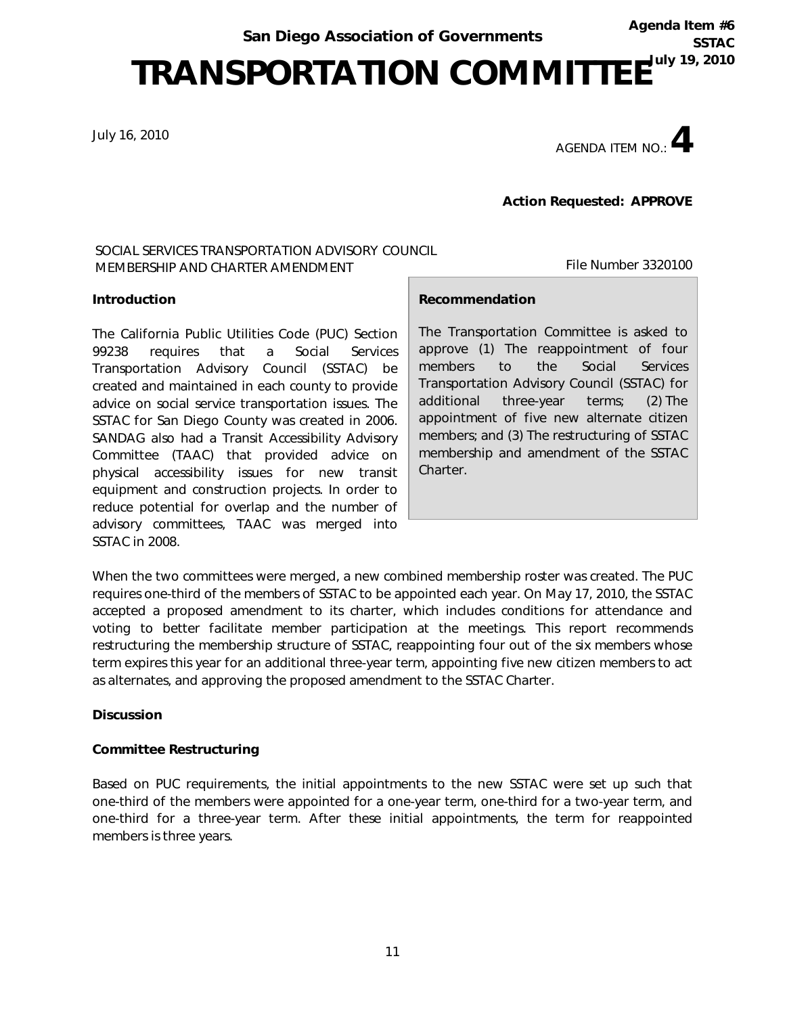Agenda Item #6 **SSTAC** 

## TRANSPORTATION COMMITTEE<sup>TULY 19, 2010</sup>

July 16, 2010

AGENDA ITEM NO  $\cdot$  4

File Number 3320100

Action Requested: APPROVE

#### SOCIAL SERVICES TRANSPORTATION ADVISORY COUNCIL MEMBERSHIP AND CHARTER AMENDMENT

#### Introduction

The California Public Utilities Code (PUC) Section 99238 requires that a Social Services Transportation Advisory Council (SSTAC) be created and maintained in each county to provide advice on social service transportation issues. The SSTAC for San Diego County was created in 2006. SANDAG also had a Transit Accessibility Advisory Committee (TAAC) that provided advice on physical accessibility issues for new transit equipment and construction projects. In order to reduce potential for overlap and the number of advisory committees, TAAC was merged into SSTAC in 2008.

#### Recommendation

The Transportation Committee is asked to approve (1) The reappointment of four members to the Social Services Transportation Advisory Council (SSTAC) for additional three-year terms; (2) The appointment of five new alternate citizen members; and (3) The restructuring of SSTAC membership and amendment of the SSTAC Charter.

When the two committees were merged, a new combined membership roster was created. The PUC requires one-third of the members of SSTAC to be appointed each year. On May 17, 2010, the SSTAC accepted a proposed amendment to its charter, which includes conditions for attendance and voting to better facilitate member participation at the meetings. This report recommends restructuring the membership structure of SSTAC, reappointing four out of the six members whose term expires this year for an additional three-year term, appointing five new citizen members to act as alternates, and approving the proposed amendment to the SSTAC Charter.

#### **Discussion**

#### *Committee Restructuring*

Based on PUC requirements, the initial appointments to the new SSTAC were set up such that one-third of the members were appointed for a one-year term, one-third for a two-year term, and one-third for a three-year term. After these initial appointments, the term for reappointed members is three years.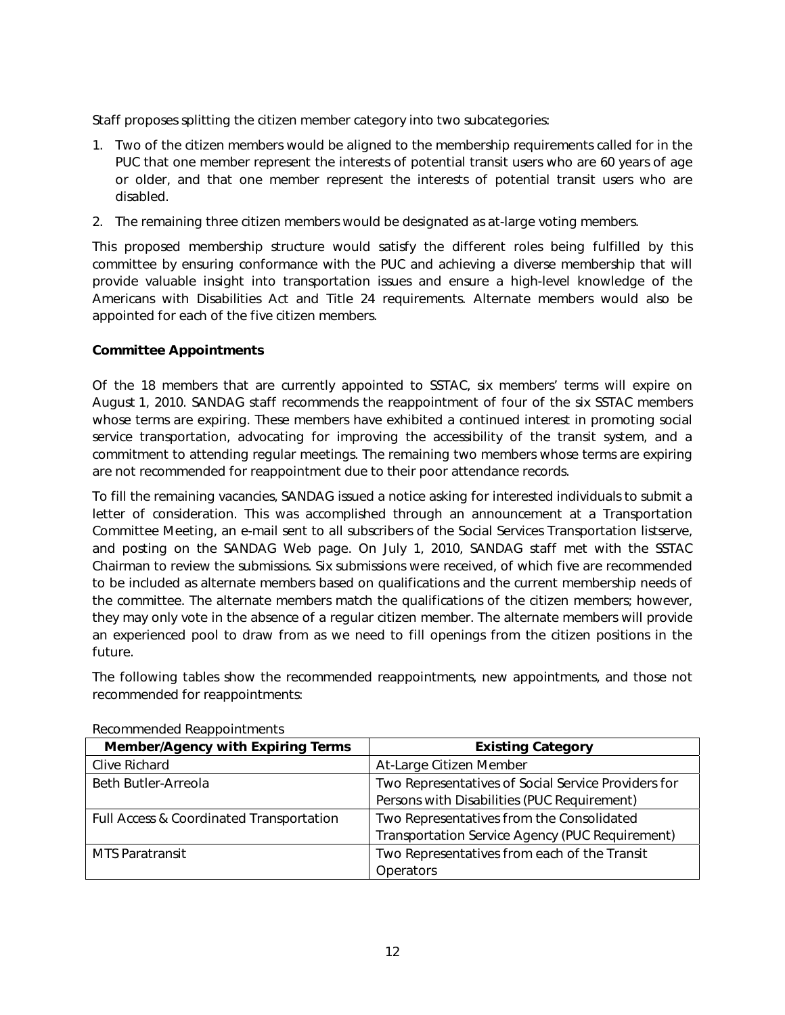Staff proposes splitting the citizen member category into two subcategories:

- 1. Two of the citizen members would be aligned to the membership requirements called for in the PUC that one member represent the interests of potential transit users who are 60 years of age or older, and that one member represent the interests of potential transit users who are disabled.
- 2. The remaining three citizen members would be designated as at-large voting members.

This proposed membership structure would satisfy the different roles being fulfilled by this committee by ensuring conformance with the PUC and achieving a diverse membership that will provide valuable insight into transportation issues and ensure a high-level knowledge of the Americans with Disabilities Act and Title 24 requirements. Alternate members would also be appointed for each of the five citizen members.

#### *Committee Appointments*

Of the 18 members that are currently appointed to SSTAC, six members' terms will expire on August 1, 2010. SANDAG staff recommends the reappointment of four of the six SSTAC members whose terms are expiring. These members have exhibited a continued interest in promoting social service transportation, advocating for improving the accessibility of the transit system, and a commitment to attending regular meetings. The remaining two members whose terms are expiring are not recommended for reappointment due to their poor attendance records.

To fill the remaining vacancies, SANDAG issued a notice asking for interested individuals to submit a letter of consideration. This was accomplished through an announcement at a Transportation Committee Meeting, an e-mail sent to all subscribers of the Social Services Transportation listserve, and posting on the SANDAG Web page. On July 1, 2010, SANDAG staff met with the SSTAC Chairman to review the submissions. Six submissions were received, of which five are recommended to be included as alternate members based on qualifications and the current membership needs of the committee. The alternate members match the qualifications of the citizen members; however, they may only vote in the absence of a regular citizen member. The alternate members will provide an experienced pool to draw from as we need to fill openings from the citizen positions in the future.

The following tables show the recommended reappointments, new appointments, and those not recommended for reappointments:

| <b>Member/Agency with Expiring Terms</b> | <b>Existing Category</b>                            |  |  |
|------------------------------------------|-----------------------------------------------------|--|--|
| Clive Richard                            | At-Large Citizen Member                             |  |  |
| Beth Butler-Arreola                      | Two Representatives of Social Service Providers for |  |  |
|                                          | Persons with Disabilities (PUC Requirement)         |  |  |
| Full Access & Coordinated Transportation | Two Representatives from the Consolidated           |  |  |
|                                          | Transportation Service Agency (PUC Requirement)     |  |  |
| <b>MTS Paratransit</b>                   | Two Representatives from each of the Transit        |  |  |
|                                          | <b>Operators</b>                                    |  |  |

#### Recommended Reappointments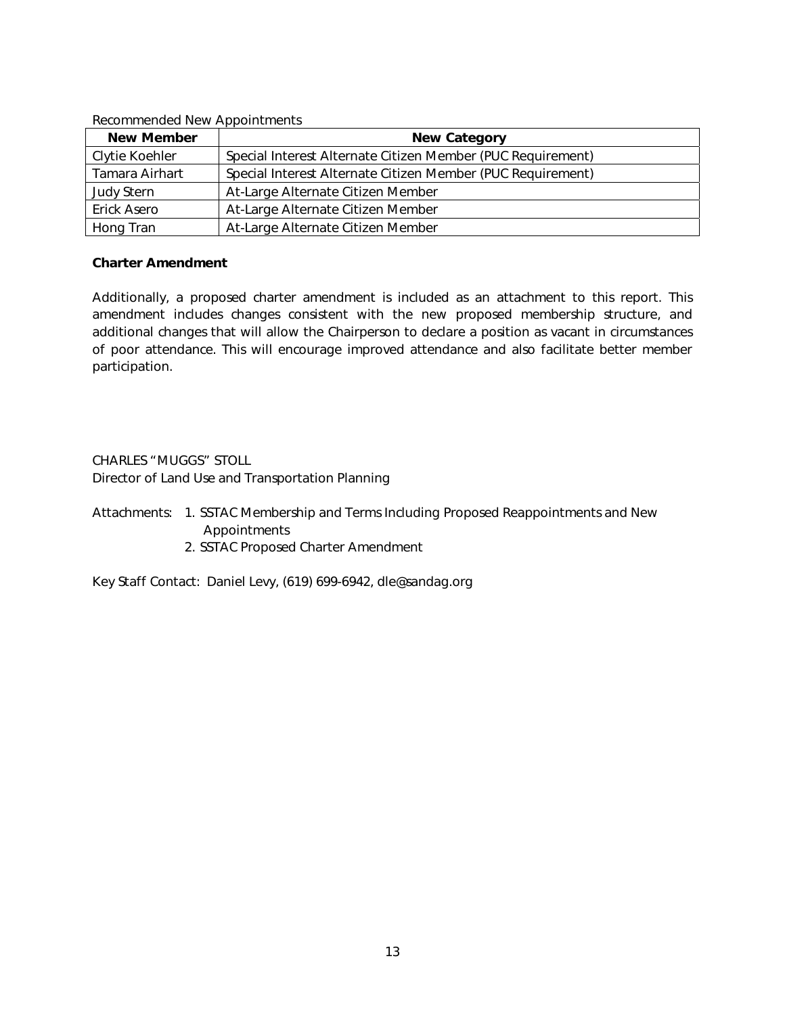| <b>Recommended New Appointments</b> |                                                             |  |  |  |
|-------------------------------------|-------------------------------------------------------------|--|--|--|
| <b>New Member</b>                   | <b>New Category</b>                                         |  |  |  |
| Clytie Koehler                      | Special Interest Alternate Citizen Member (PUC Requirement) |  |  |  |
| Tamara Airhart                      | Special Interest Alternate Citizen Member (PUC Requirement) |  |  |  |
| Judy Stern                          | At-Large Alternate Citizen Member                           |  |  |  |
| Erick Asero                         | At-Large Alternate Citizen Member                           |  |  |  |
| Hong Tran                           | At-Large Alternate Citizen Member                           |  |  |  |

#### Recommended New Appointments

#### *Charter Amendment*

Additionally, a proposed charter amendment is included as an attachment to this report. This amendment includes changes consistent with the new proposed membership structure, and additional changes that will allow the Chairperson to declare a position as vacant in circumstances of poor attendance. This will encourage improved attendance and also facilitate better member participation.

CHARLES "MUGGS" STOLL Director of Land Use and Transportation Planning

Attachments: 1. SSTAC Membership and Terms Including Proposed Reappointments and New Appointments

2. SSTAC Proposed Charter Amendment

Key Staff Contact: Daniel Levy, (619) 699-6942, dle@sandag.org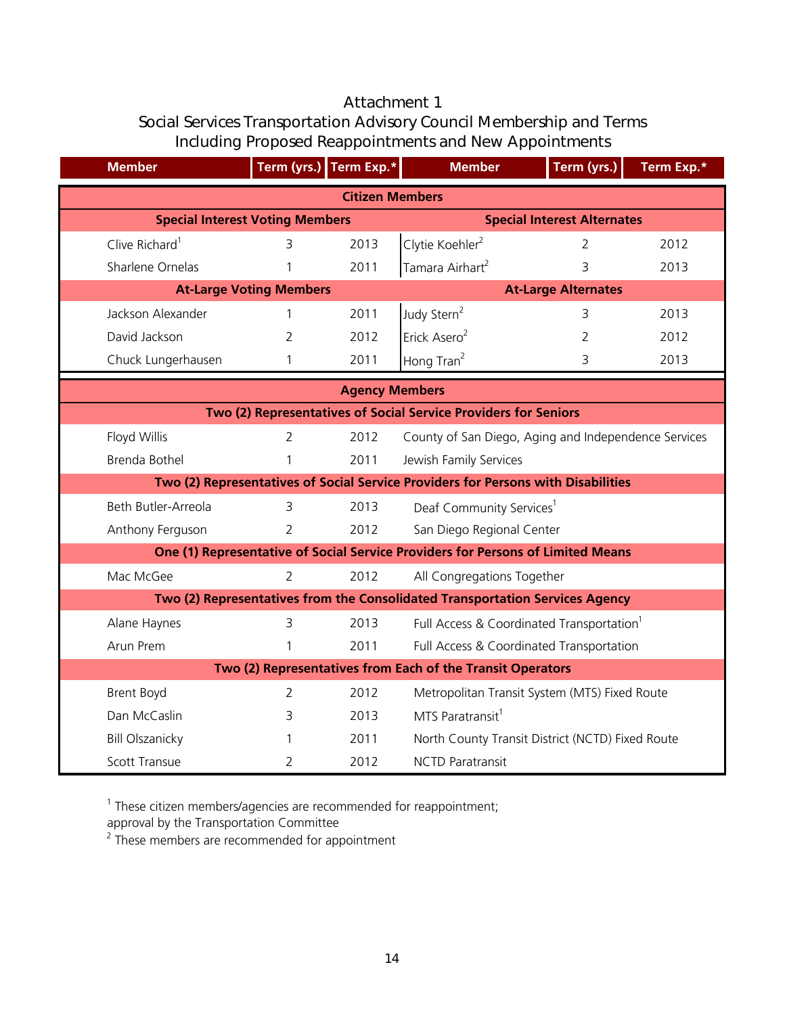## Attachment 1 Social Services Transportation Advisory Council Membership and Terms Including Proposed Reappointments and New Appointments

| <b>Member</b>              |                                                                              | Term (yrs.) Term Exp.* | <b>Member</b>                                                                     | Term (yrs.)    | Term Exp.* |  |  |
|----------------------------|------------------------------------------------------------------------------|------------------------|-----------------------------------------------------------------------------------|----------------|------------|--|--|
|                            |                                                                              | <b>Citizen Members</b> |                                                                                   |                |            |  |  |
|                            | <b>Special Interest Alternates</b><br><b>Special Interest Voting Members</b> |                        |                                                                                   |                |            |  |  |
| Clive Richard <sup>1</sup> | $\overline{3}$                                                               | 2013                   | Clytie Koehler <sup>2</sup>                                                       | $\overline{2}$ | 2012       |  |  |
| Sharlene Ornelas           |                                                                              | 2011                   | Tamara Airhart <sup>2</sup>                                                       | 3              | 2013       |  |  |
|                            | <b>At-Large Voting Members</b>                                               |                        | <b>At-Large Alternates</b>                                                        |                |            |  |  |
| Jackson Alexander          |                                                                              | 2011                   | Judy Stern <sup>2</sup>                                                           | 3              | 2013       |  |  |
| David Jackson              | $\overline{2}$                                                               | 2012                   | Erick Asero <sup>2</sup>                                                          | 2              | 2012       |  |  |
| Chuck Lungerhausen         | 1                                                                            | 2011                   | Hong Tran <sup>2</sup>                                                            | 3              | 2013       |  |  |
|                            |                                                                              | <b>Agency Members</b>  |                                                                                   |                |            |  |  |
|                            |                                                                              |                        | Two (2) Representatives of Social Service Providers for Seniors                   |                |            |  |  |
| Floyd Willis               | $\overline{2}$                                                               | 2012                   | County of San Diego, Aging and Independence Services                              |                |            |  |  |
| Brenda Bothel              | 1                                                                            | 2011                   | Jewish Family Services                                                            |                |            |  |  |
|                            |                                                                              |                        | Two (2) Representatives of Social Service Providers for Persons with Disabilities |                |            |  |  |
| Beth Butler-Arreola        | 3                                                                            | 2013                   | Deaf Community Services <sup>1</sup>                                              |                |            |  |  |
| Anthony Ferguson           | $\overline{2}$                                                               | 2012                   | San Diego Regional Center                                                         |                |            |  |  |
|                            |                                                                              |                        | One (1) Representative of Social Service Providers for Persons of Limited Means   |                |            |  |  |
| Mac McGee                  | $\overline{2}$                                                               | 2012                   | All Congregations Together                                                        |                |            |  |  |
|                            |                                                                              |                        | Two (2) Representatives from the Consolidated Transportation Services Agency      |                |            |  |  |
| Alane Haynes               | 3                                                                            | 2013                   | Full Access & Coordinated Transportation <sup>1</sup>                             |                |            |  |  |
| Arun Prem                  |                                                                              | 2011                   | Full Access & Coordinated Transportation                                          |                |            |  |  |
|                            |                                                                              |                        | Two (2) Representatives from Each of the Transit Operators                        |                |            |  |  |
| <b>Brent Boyd</b>          | 2                                                                            | 2012                   | Metropolitan Transit System (MTS) Fixed Route                                     |                |            |  |  |
| Dan McCaslin               | 3                                                                            | 2013                   | MTS Paratransit <sup>1</sup>                                                      |                |            |  |  |
| <b>Bill Olszanicky</b>     |                                                                              | 2011                   | North County Transit District (NCTD) Fixed Route                                  |                |            |  |  |
| <b>Scott Transue</b>       | $\overline{2}$                                                               | 2012                   | <b>NCTD Paratransit</b>                                                           |                |            |  |  |

<sup>1</sup> These citizen members/agencies are recommended for reappointment;

approval by the Transportation Committee

<sup>2</sup> These members are recommended for appointment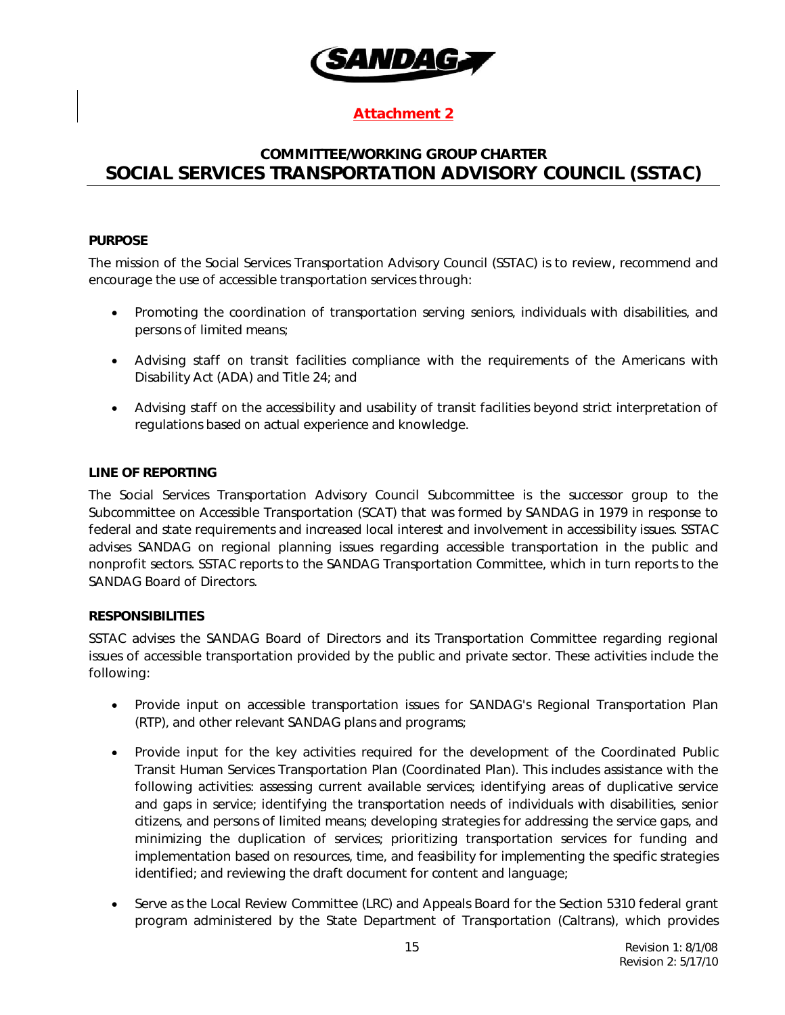

#### Attachment 2

### COMMITTEE/WORKING GROUP CHARTER SOCIAL SERVICES TRANSPORTATION ADVISORY COUNCIL (SSTAC)

#### PURPOSE

The mission of the Social Services Transportation Advisory Council (SSTAC) is to review, recommend and encourage the use of accessible transportation services through:

- Promoting the coordination of transportation serving seniors, individuals with disabilities, and persons of limited means;
- Advising staff on transit facilities compliance with the requirements of the Americans with Disability Act (ADA) and Title 24; and
- Advising staff on the accessibility and usability of transit facilities beyond strict interpretation of regulations based on actual experience and knowledge.

#### LINE OF REPORTING

The Social Services Transportation Advisory Council Subcommittee is the successor group to the Subcommittee on Accessible Transportation (SCAT) that was formed by SANDAG in 1979 in response to federal and state requirements and increased local interest and involvement in accessibility issues. SSTAC advises SANDAG on regional planning issues regarding accessible transportation in the public and nonprofit sectors. SSTAC reports to the SANDAG Transportation Committee, which in turn reports to the SANDAG Board of Directors.

#### RESPONSIBILITIES

SSTAC advises the SANDAG Board of Directors and its Transportation Committee regarding regional issues of accessible transportation provided by the public and private sector. These activities include the following:

- Provide input on accessible transportation issues for SANDAG's Regional Transportation Plan (RTP), and other relevant SANDAG plans and programs;
- Provide input for the key activities required for the development of the Coordinated Public Transit Human Services Transportation Plan (Coordinated Plan). This includes assistance with the following activities: assessing current available services; identifying areas of duplicative service and gaps in service; identifying the transportation needs of individuals with disabilities, senior citizens, and persons of limited means; developing strategies for addressing the service gaps, and minimizing the duplication of services; prioritizing transportation services for funding and implementation based on resources, time, and feasibility for implementing the specific strategies identified; and reviewing the draft document for content and language;
- Serve as the Local Review Committee (LRC) and Appeals Board for the Section 5310 federal grant program administered by the State Department of Transportation (Caltrans), which provides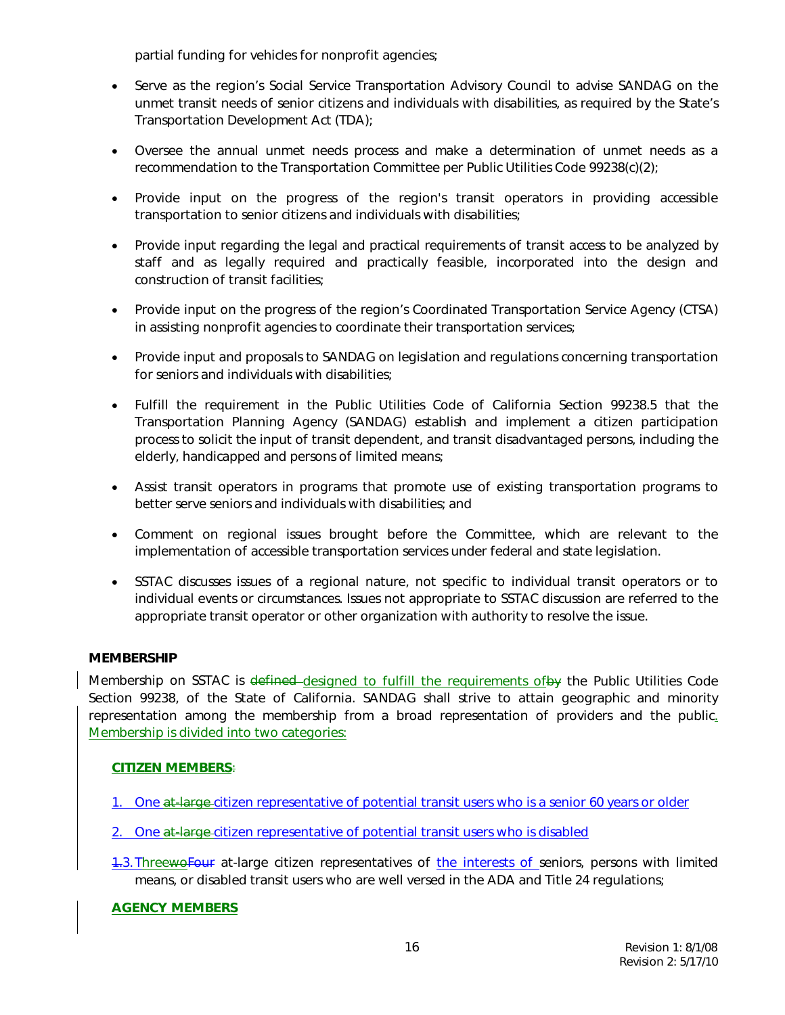partial funding for vehicles for nonprofit agencies;

- Serve as the region's Social Service Transportation Advisory Council to advise SANDAG on the unmet transit needs of senior citizens and individuals with disabilities, as required by the State's Transportation Development Act (TDA);
- Oversee the annual unmet needs process and make a determination of unmet needs as a recommendation to the Transportation Committee per Public Utilities Code 99238(c)(2);
- Provide input on the progress of the region's transit operators in providing accessible transportation to senior citizens and individuals with disabilities;
- Provide input regarding the legal and practical requirements of transit access to be analyzed by staff and as legally required and practically feasible, incorporated into the design and construction of transit facilities;
- Provide input on the progress of the region's Coordinated Transportation Service Agency (CTSA) in assisting nonprofit agencies to coordinate their transportation services;
- Provide input and proposals to SANDAG on legislation and regulations concerning transportation for seniors and individuals with disabilities;
- Fulfill the requirement in the Public Utilities Code of California Section 99238.5 that the Transportation Planning Agency (SANDAG) establish and implement a citizen participation process to solicit the input of transit dependent, and transit disadvantaged persons, including the elderly, handicapped and persons of limited means;
- Assist transit operators in programs that promote use of existing transportation programs to better serve seniors and individuals with disabilities; and
- Comment on regional issues brought before the Committee, which are relevant to the implementation of accessible transportation services under federal and state legislation.
- SSTAC discusses issues of a regional nature, not specific to individual transit operators or to individual events or circumstances. Issues not appropriate to SSTAC discussion are referred to the appropriate transit operator or other organization with authority to resolve the issue.

#### **MEMBERSHIP**

Membership on SSTAC is defined-designed to fulfill the requirements of by the Public Utilities Code Section 99238, of the State of California. SANDAG shall strive to attain geographic and minority representation among the membership from a broad representation of providers and the public. Membership is divided into two categories:

#### CITIZEN MEMBERS:

- 1. One at-large citizen representative of potential transit users who is a senior 60 years or older
- 2. One at large citizen representative of potential transit users who is disabled
- 1.3.ThreewoFour at-large citizen representatives of the interests of seniors, persons with limited means, or disabled transit users who are well versed in the ADA and Title 24 regulations;

#### AGENCY MEMBERS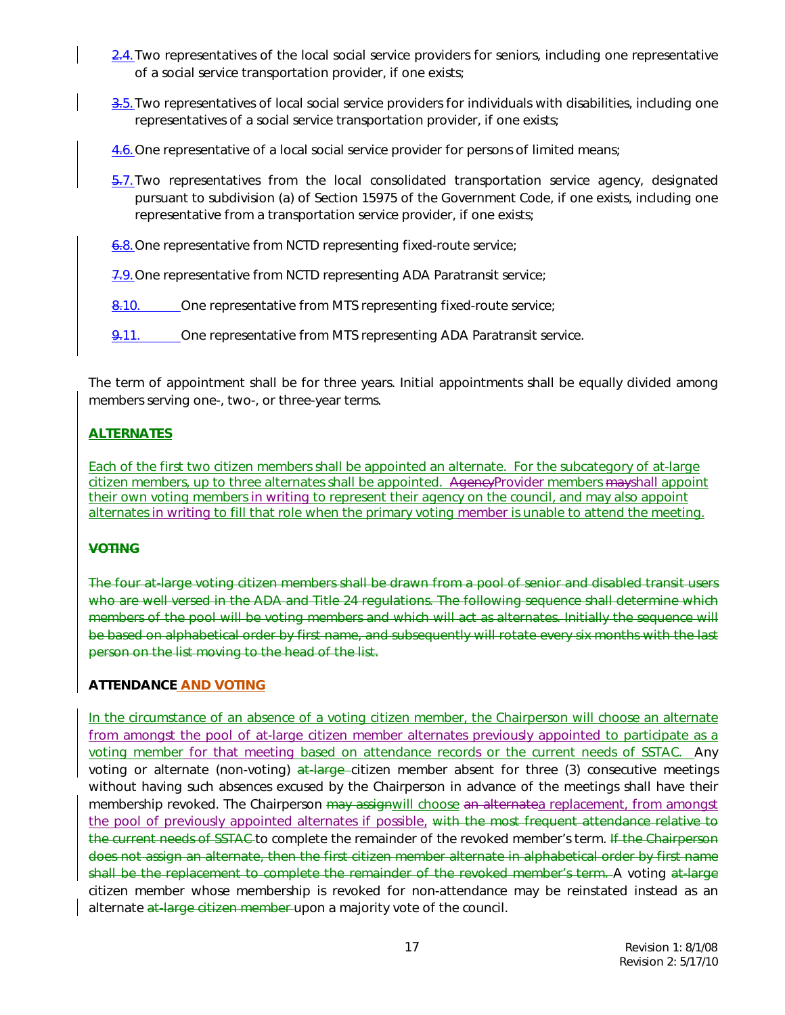- 2.4. Two representatives of the local social service providers for seniors, including one representative of a social service transportation provider, if one exists;
- 3.5. Two representatives of local social service providers for individuals with disabilities, including one representatives of a social service transportation provider, if one exists;
- 4.6.One representative of a local social service provider for persons of limited means;
- $\frac{5.7}{2}$ . Two representatives from the local consolidated transportation service agency, designated pursuant to subdivision (a) of Section 15975 of the Government Code, if one exists, including one representative from a transportation service provider, if one exists;
- 6.8. One representative from NCTD representing fixed-route service;
- 7.9. One representative from NCTD representing ADA Paratransit service;
- 8.10. One representative from MTS representing fixed-route service;
- 9.11. Che representative from MTS representing ADA Paratransit service.

The term of appointment shall be for three years. Initial appointments shall be equally divided among members serving one-, two-, or three-year terms.

#### **ALTERNATES**

Each of the first two citizen members shall be appointed an alternate. For the subcategory of at-large citizen members, up to three alternates shall be appointed. AgencyProvider members mayshall appoint their own voting members in writing to represent their agency on the council, and may also appoint alternates in writing to fill that role when the primary voting member is unable to attend the meeting.

#### **VOTING**

The four at-large voting citizen members shall be drawn from a pool of senior and disabled transit users who are well versed in the ADA and Title 24 regulations. The following sequence shall determine which members of the pool will be voting members and which will act as alternates. Initially the sequence will be based on alphabetical order by first name, and subsequently will rotate every six months with the last person on the list moving to the head of the list.

#### ATTENDANCE AND VOTING

In the circumstance of an absence of a voting citizen member, the Chairperson will choose an alternate from amongst the pool of at-large citizen member alternates previously appointed to participate as a voting member for that meeting based on attendance records or the current needs of SSTAC. Any voting or alternate (non-voting) at large citizen member absent for three (3) consecutive meetings without having such absences excused by the Chairperson in advance of the meetings shall have their membership revoked. The Chairperson may assignwill choose an alternatea replacement, from amongst the pool of previously appointed alternates if possible, with the most frequent attendance relative to the current needs of SSTAC-to complete the remainder of the revoked member's term. If the Chairperson does not assign an alternate, then the first citizen member alternate in alphabetical order by first name shall be the replacement to complete the remainder of the revoked member's term. A voting at-large citizen member whose membership is revoked for non-attendance may be reinstated instead as an alternate at-large citizen member upon a majority vote of the council.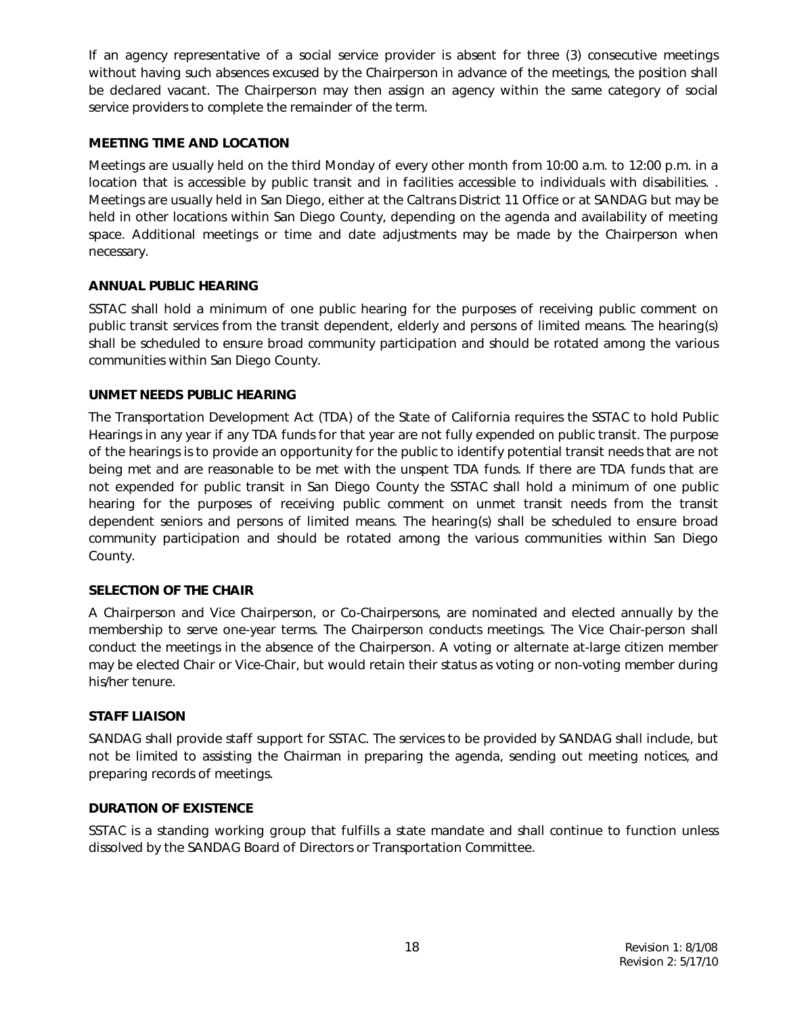If an agency representative of a social service provider is absent for three (3) consecutive meetings without having such absences excused by the Chairperson in advance of the meetings, the position shall be declared vacant. The Chairperson may then assign an agency within the same category of social service providers to complete the remainder of the term.

#### MEETING TIME AND LOCATION

Meetings are usually held on the third Monday of every other month from 10:00 a.m. to 12:00 p.m. in a location that is accessible by public transit and in facilities accessible to individuals with disabilities. . Meetings are usually held in San Diego, either at the Caltrans District 11 Office or at SANDAG but may be held in other locations within San Diego County, depending on the agenda and availability of meeting space. Additional meetings or time and date adjustments may be made by the Chairperson when necessary.

#### ANNUAL PUBLIC HEARING

SSTAC shall hold a minimum of one public hearing for the purposes of receiving public comment on public transit services from the transit dependent, elderly and persons of limited means. The hearing(s) shall be scheduled to ensure broad community participation and should be rotated among the various communities within San Diego County.

#### UNMET NEEDS PUBLIC HEARING

The Transportation Development Act (TDA) of the State of California requires the SSTAC to hold Public Hearings in any year if any TDA funds for that year are not fully expended on public transit. The purpose of the hearings is to provide an opportunity for the public to identify potential transit needs that are not being met and are reasonable to be met with the unspent TDA funds. If there are TDA funds that are not expended for public transit in San Diego County the SSTAC shall hold a minimum of one public hearing for the purposes of receiving public comment on unmet transit needs from the transit dependent seniors and persons of limited means. The hearing(s) shall be scheduled to ensure broad community participation and should be rotated among the various communities within San Diego County.

#### SELECTION OF THE CHAIR

A Chairperson and Vice Chairperson, or Co-Chairpersons, are nominated and elected annually by the membership to serve one-year terms. The Chairperson conducts meetings. The Vice Chair-person shall conduct the meetings in the absence of the Chairperson. A voting or alternate at-large citizen member may be elected Chair or Vice-Chair, but would retain their status as voting or non-voting member during his/her tenure.

#### STAFF LIAISON

SANDAG shall provide staff support for SSTAC. The services to be provided by SANDAG shall include, but not be limited to assisting the Chairman in preparing the agenda, sending out meeting notices, and preparing records of meetings.

#### DURATION OF EXISTENCE

SSTAC is a standing working group that fulfills a state mandate and shall continue to function unless dissolved by the SANDAG Board of Directors or Transportation Committee.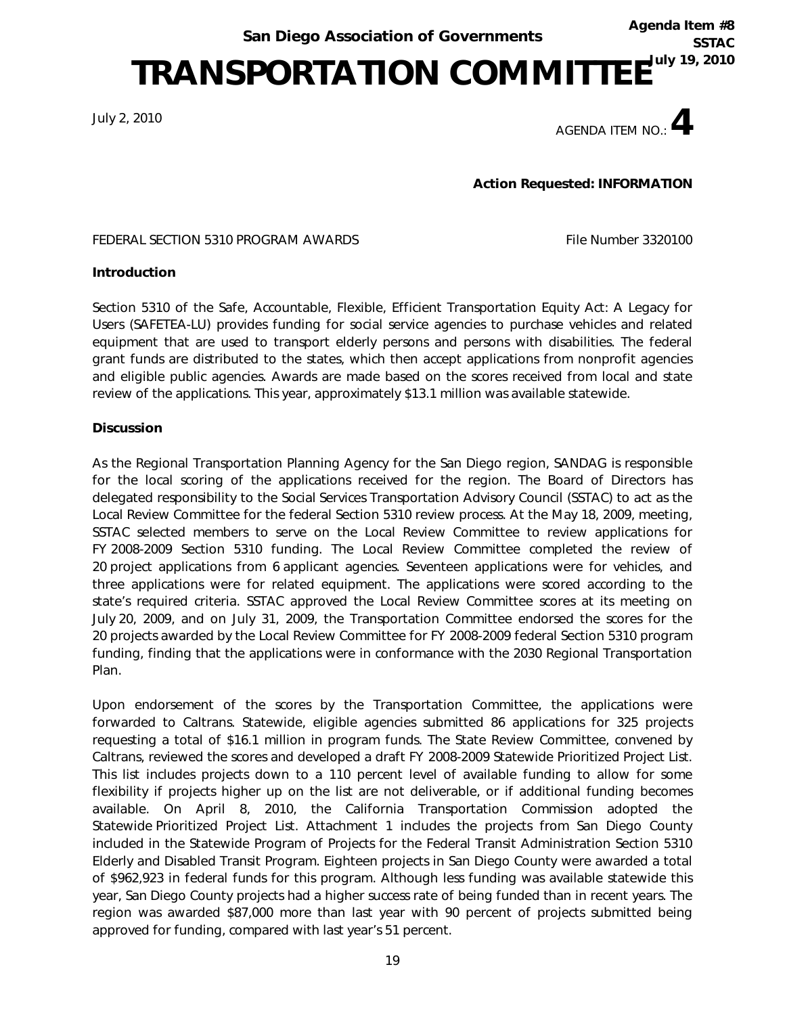TRANSPORTATION COMMITTEE<sup>TULY 19, 2010</sup>

July 2, 2010



Agenda Item #8

**SSTAC** 

Action Requested: INFORMATION

FEDERAL SECTION 5310 PROGRAM AWARDS FILE Number 3320100

#### Introduction

Section 5310 of the Safe, Accountable, Flexible, Efficient Transportation Equity Act: A Legacy for Users (SAFETEA-LU) provides funding for social service agencies to purchase vehicles and related equipment that are used to transport elderly persons and persons with disabilities. The federal grant funds are distributed to the states, which then accept applications from nonprofit agencies and eligible public agencies. Awards are made based on the scores received from local and state review of the applications. This year, approximately \$13.1 million was available statewide.

#### Discussion

As the Regional Transportation Planning Agency for the San Diego region, SANDAG is responsible for the local scoring of the applications received for the region. The Board of Directors has delegated responsibility to the Social Services Transportation Advisory Council (SSTAC) to act as the Local Review Committee for the federal Section 5310 review process. At the May 18, 2009, meeting, SSTAC selected members to serve on the Local Review Committee to review applications for FY 2008-2009 Section 5310 funding. The Local Review Committee completed the review of 20 project applications from 6 applicant agencies. Seventeen applications were for vehicles, and three applications were for related equipment. The applications were scored according to the state's required criteria. SSTAC approved the Local Review Committee scores at its meeting on July 20, 2009, and on July 31, 2009, the Transportation Committee endorsed the scores for the 20 projects awarded by the Local Review Committee for FY 2008-2009 federal Section 5310 program funding, finding that the applications were in conformance with the 2030 Regional Transportation Plan.

Upon endorsement of the scores by the Transportation Committee, the applications were forwarded to Caltrans. Statewide, eligible agencies submitted 86 applications for 325 projects requesting a total of \$16.1 million in program funds. The State Review Committee, convened by Caltrans, reviewed the scores and developed a draft FY 2008-2009 Statewide Prioritized Project List. This list includes projects down to a 110 percent level of available funding to allow for some flexibility if projects higher up on the list are not deliverable, or if additional funding becomes available. On April 8, 2010, the California Transportation Commission adopted the Statewide Prioritized Project List. Attachment 1 includes the projects from San Diego County included in the Statewide Program of Projects for the Federal Transit Administration Section 5310 Elderly and Disabled Transit Program. Eighteen projects in San Diego County were awarded a total of \$962,923 in federal funds for this program. Although less funding was available statewide this year, San Diego County projects had a higher success rate of being funded than in recent years. The region was awarded \$87,000 more than last year with 90 percent of projects submitted being approved for funding, compared with last year's 51 percent.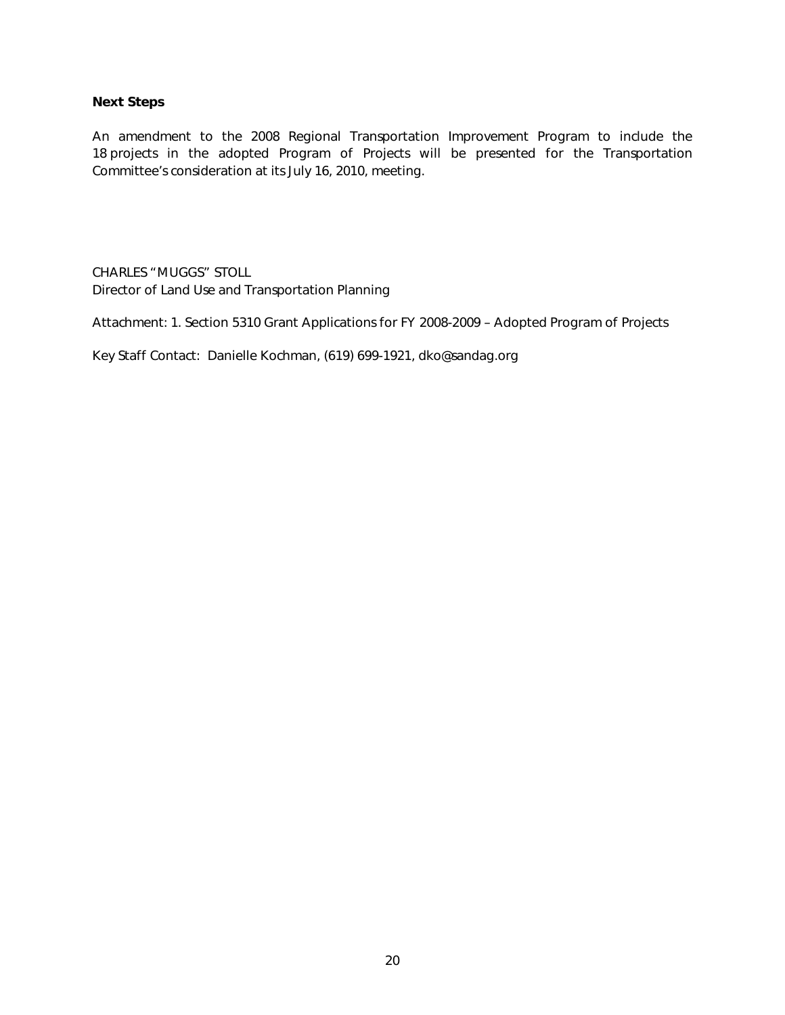#### Next Steps

An amendment to the 2008 Regional Transportation Improvement Program to include the 18 projects in the adopted Program of Projects will be presented for the Transportation Committee's consideration at its July 16, 2010, meeting.

CHARLES "MUGGS" STOLL Director of Land Use and Transportation Planning

Attachment: 1. Section 5310 Grant Applications for FY 2008-2009 – Adopted Program of Projects

Key Staff Contact: Danielle Kochman, (619) 699-1921, dko@sandag.org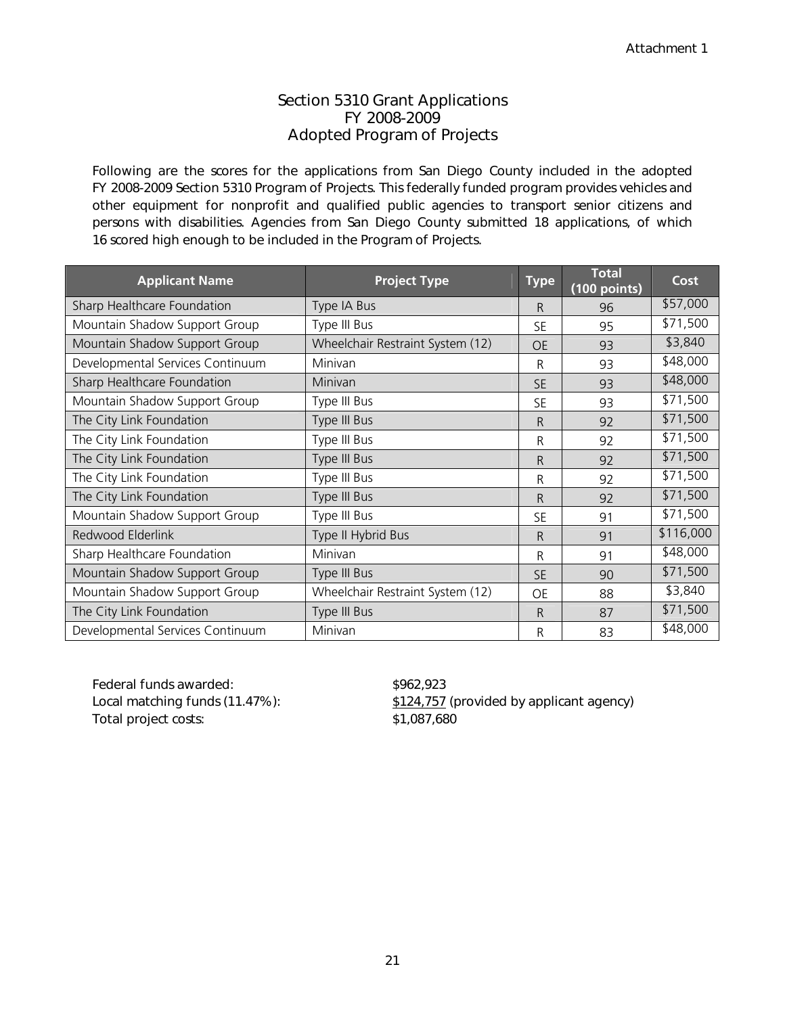#### Section 5310 Grant Applications FY 2008-2009 Adopted Program of Projects

Following are the scores for the applications from San Diego County included in the adopted FY 2008-2009 Section 5310 Program of Projects. This federally funded program provides vehicles and other equipment for nonprofit and qualified public agencies to transport senior citizens and persons with disabilities. Agencies from San Diego County submitted 18 applications, of which 16 scored high enough to be included in the Program of Projects.

| <b>Applicant Name</b>            | <b>Project Type</b>              | Type      | <b>Total</b><br>(100 points) | Cost      |
|----------------------------------|----------------------------------|-----------|------------------------------|-----------|
| Sharp Healthcare Foundation      | Type IA Bus                      | R         | 96                           | \$57,000  |
| Mountain Shadow Support Group    | Type III Bus                     | <b>SE</b> | 95                           | \$71,500  |
| Mountain Shadow Support Group    | Wheelchair Restraint System (12) | <b>OE</b> | 93                           | \$3,840   |
| Developmental Services Continuum | Minivan                          | R         | 93                           | \$48,000  |
| Sharp Healthcare Foundation      | Minivan                          | <b>SE</b> | 93                           | \$48,000  |
| Mountain Shadow Support Group    | Type III Bus                     | SE        | 93                           | \$71,500  |
| The City Link Foundation         | Type III Bus                     | R         | 92                           | \$71,500  |
| The City Link Foundation         | Type III Bus                     | R         | 92                           | \$71,500  |
| The City Link Foundation         | Type III Bus                     | R         | 92                           | \$71,500  |
| The City Link Foundation         | Type III Bus                     | R         | 92                           | \$71,500  |
| The City Link Foundation         | Type III Bus                     | R         | 92                           | \$71,500  |
| Mountain Shadow Support Group    | Type III Bus                     | <b>SE</b> | 91                           | \$71,500  |
| Redwood Elderlink                | Type II Hybrid Bus               | R         | 91                           | \$116,000 |
| Sharp Healthcare Foundation      | Minivan                          | R         | 91                           | \$48,000  |
| Mountain Shadow Support Group    | Type III Bus                     | <b>SE</b> | 90                           | \$71,500  |
| Mountain Shadow Support Group    | Wheelchair Restraint System (12) | OE        | 88                           | \$3,840   |
| The City Link Foundation         | Type III Bus                     | R         | 87                           | \$71,500  |
| Developmental Services Continuum | Minivan                          | R         | 83                           | \$48,000  |

Federal funds awarded:  $$962,923$ Total project costs:  $$1,087,680$ 

Local matching funds (11.47%):  $$124,757$  (provided by applicant agency)